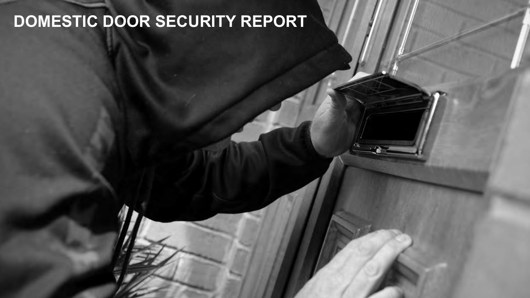## **DOMESTIC DOOR SECURITY REPORT**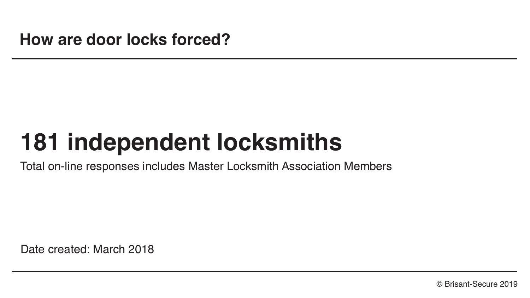# **181 independent locksmiths**

Total on-line responses includes Master Locksmith Association Members

Date created: March 2018

© Brisant-Secure 2019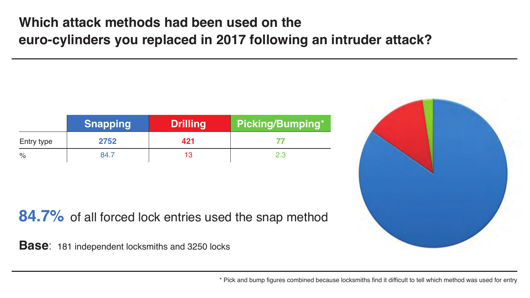#### **Which attack methods had been used on the euro-cylinders you replaced in 2017 following an intruder attack?**

|            | <b>Snapping</b> | <b>Drilling</b> | Picking/Bumping* |
|------------|-----------------|-----------------|------------------|
| Entry type | 2752            | 421             |                  |
| %          | 84.7            | 13              | 2.3              |

**84.7%** of all forced lock entries used the snap method

**Base**: 181 independent locksmiths and 3250 locks

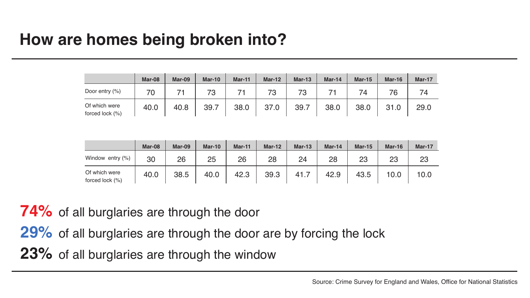### **How are homes being broken into?**

|                                  | Mar-08 | Mar-09 | <b>Mar-10</b> | Mar-11 | Mar-12 | Mar-13 | Mar-14 | <b>Mar-15</b> | Mar-16 | <b>Mar-17</b> |
|----------------------------------|--------|--------|---------------|--------|--------|--------|--------|---------------|--------|---------------|
| Door entry (%)                   | 70     |        | 73            |        | 73     | 73     |        | 74            | 76     | 74            |
| Of which were<br>forced lock (%) | 40.0   | 40.8   | 39.7          | 38.0   | 37.0   | 39.7   | 38.0   | 38.0          | 31.0   | 29.0          |

|                                  | Mar-08 | Mar-09 | Mar-10 | Mar-11 | $Mar-12$ | <b>Mar-13</b> | Mar-14 | Mar-15 | Mar-16 | Mar-17 |
|----------------------------------|--------|--------|--------|--------|----------|---------------|--------|--------|--------|--------|
| Window entry (%)                 | 30     | 26     | 25     | 26     | 28       | 24            | 28     | 23     | 23     | 23     |
| Of which were<br>forced lock (%) | 40.0   | 38.5   | 40.0   | 42.3   | 39.3     | -41.          | 42.9   | 43.5   | 10.0   | 10.0   |

**74%** of all burglaries are through the door

**29%** of all burglaries are through the door are by forcing the lock

**23%** of all burglaries are through the window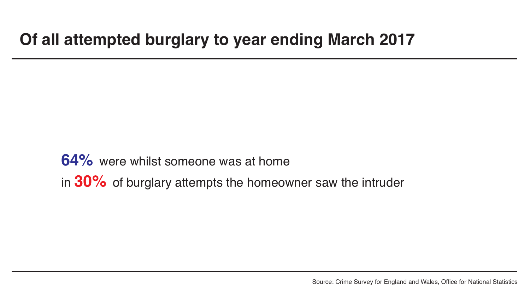### **Of all attempted burglary to year ending March 2017**

**64%** were whilst someone was at home in **30%** of burglary attempts the homeowner saw the intruder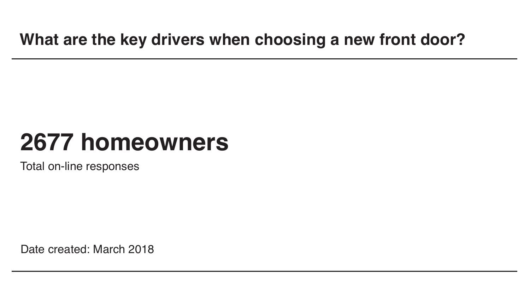# **2677 homeowners**

Total on-line responses

Date created: March 2018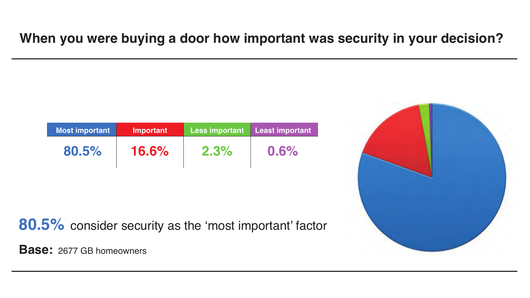#### **When you were buying a door how important was security in your decision?**

| <b>Most important</b> | Important    | <b>Less important</b> | <b>Least important</b> |  |  |
|-----------------------|--------------|-----------------------|------------------------|--|--|
| 80.5%                 | <b>16.6%</b> | $2.3\%$               | 0.6%                   |  |  |

**80.5%** consider security as the 'most important' factor

**Base:** 2677 GB homeowners